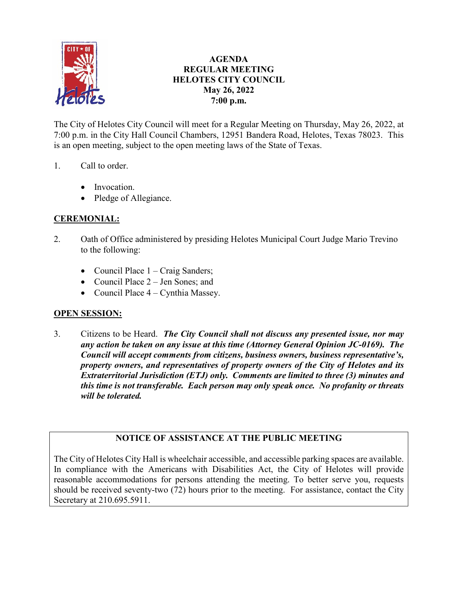

## **AGENDA REGULAR MEETING HELOTES CITY COUNCIL May 26, 2022 7:00 p.m.**

The City of Helotes City Council will meet for a Regular Meeting on Thursday, May 26, 2022, at 7:00 p.m. in the City Hall Council Chambers, 12951 Bandera Road, Helotes, Texas 78023. This is an open meeting, subject to the open meeting laws of the State of Texas.

## 1. Call to order.

- Invocation.
- Pledge of Allegiance.

# **CEREMONIAL:**

- 2. Oath of Office administered by presiding Helotes Municipal Court Judge Mario Trevino to the following:
	- Council Place  $1 \text{Craig Sanders}$ ;
	- Council Place 2 Jen Sones: and
	- Council Place  $4 -$  Cynthia Massey.

## **OPEN SESSION:**

3. Citizens to be Heard. *The City Council shall not discuss any presented issue, nor may any action be taken on any issue at this time (Attorney General Opinion JC-0169). The Council will accept comments from citizens, business owners, business representative's, property owners, and representatives of property owners of the City of Helotes and its Extraterritorial Jurisdiction (ETJ) only. Comments are limited to three (3) minutes and this time is not transferable. Each person may only speak once. No profanity or threats will be tolerated.*

# **NOTICE OF ASSISTANCE AT THE PUBLIC MEETING**

The City of Helotes City Hall is wheelchair accessible, and accessible parking spaces are available. In compliance with the Americans with Disabilities Act, the City of Helotes will provide reasonable accommodations for persons attending the meeting. To better serve you, requests should be received seventy-two (72) hours prior to the meeting. For assistance, contact the City Secretary at 210.695.5911.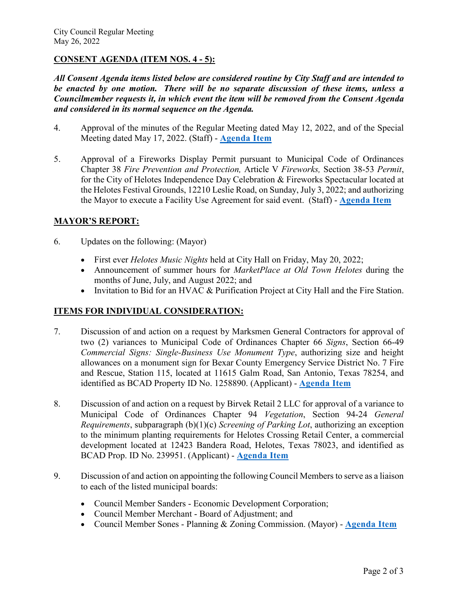### **CONSENT AGENDA (ITEM NOS. 4 - 5):**

*All Consent Agenda items listed below are considered routine by City Staff and are intended to be enacted by one motion. There will be no separate discussion of these items, unless a Councilmember requests it, in which event the item will be removed from the Consent Agenda and considered in its normal sequence on the Agenda.*

- 4. Approval of the minutes of the Regular Meeting dated May 12, 2022, and of the Special Meeting dated May 17, 2022. (Staff) - **[Agenda Item](https://helotes-tx.gov/wp-content/uploads/2022/05/4-Minutes-1.pdf)**
- 5. Approval of a Fireworks Display Permit pursuant to Municipal Code of Ordinances Chapter 38 *Fire Prevention and Protection,* Article V *Fireworks,* Section 38-53 *Permit*, for the City of Helotes Independence Day Celebration & Fireworks Spectacular located at the Helotes Festival Grounds, 12210 Leslie Road, on Sunday, July 3, 2022; and authorizing the Mayor to execute a Facility Use Agreement for said event. (Staff) - **[Agenda Item](https://helotes-tx.gov/wp-content/uploads/2022/05/5-Firework-Permit.pdf)**

#### **MAYOR'S REPORT:**

- 6. Updates on the following: (Mayor)
	- First ever *Helotes Music Nights* held at City Hall on Friday, May 20, 2022;
	- Announcement of summer hours for *MarketPlace at Old Town Helotes* during the months of June, July, and August 2022; and
	- Invitation to Bid for an HVAC & Purification Project at City Hall and the Fire Station.

#### **ITEMS FOR INDIVIDUAL CONSIDERATION:**

- 7. Discussion of and action on a request by Marksmen General Contractors for approval of two (2) variances to Municipal Code of Ordinances Chapter 66 *Signs*, Section 66-49 *Commercial Signs: Single-Business Use Monument Type*, authorizing size and height allowances on a monument sign for Bexar County Emergency Service District No. 7 Fire and Rescue, Station 115, located at 11615 Galm Road, San Antonio, Texas 78254, and identified as BCAD Property ID No. 1258890. (Applicant) - **[Agenda Item](https://helotes-tx.gov/wp-content/uploads/2022/05/7-ESD-No.-7-Monument-Sign.pdf)**
- 8. Discussion of and action on a request by Birvek Retail 2 LLC for approval of a variance to Municipal Code of Ordinances Chapter 94 *Vegetation*, Section 94-24 *General Requirements*, subparagraph (b)(1)(c) *Screening of Parking Lot*, authorizing an exception to the minimum planting requirements for Helotes Crossing Retail Center, a commercial development located at 12423 Bandera Road, Helotes, Texas 78023, and identified as BCAD Prop. ID No. 239951. (Applicant) - **[Agenda Item](https://helotes-tx.gov/wp-content/uploads/2022/05/8-Helotes-Crossing-Variance.pdf)**
- 9. Discussion of and action on appointing the following Council Members to serve as a liaison to each of the listed municipal boards:
	- Council Member Sanders Economic Development Corporation;
	- Council Member Merchant Board of Adjustment; and
	- Council Member Sones Planning & Zoning Commission. (Mayor) **[Agenda Item](https://helotes-tx.gov/wp-content/uploads/2022/05/9-Council-Liaison.pdf)**